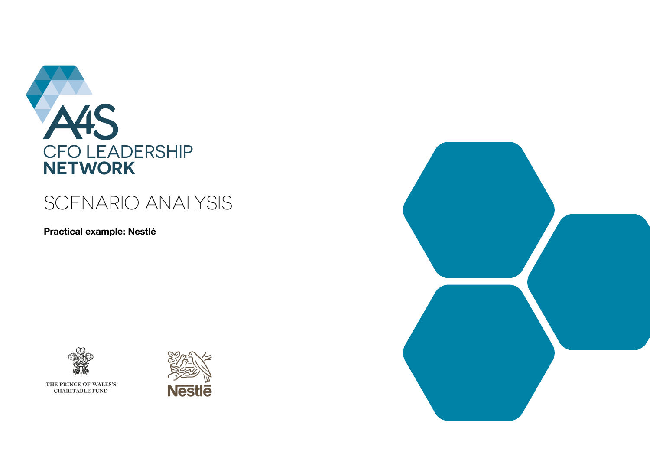

# **SCENARIO ANALYSIS**

Practical example: Nestlé





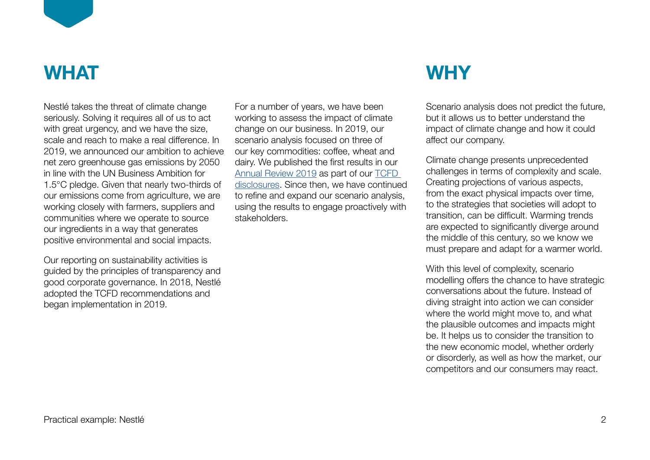

# **WHAT**

Nestlé takes the threat of climate change seriously. Solving it requires all of us to act with great urgency, and we have the size, scale and reach to make a real difference. In 2019, we announced our ambition to achieve net zero greenhouse gas emissions by 2050 in line with the UN Business Ambition for 1.5°C pledge. Given that nearly two-thirds of our emissions come from agriculture, we are working closely with farmers, suppliers and communities where we operate to source our ingredients in a way that generates positive environmental and social impacts.

Our reporting on sustainability activities is guided by the principles of transparency and good corporate governance. In 2018, Nestlé adopted the TCFD recommendations and began implementation in 2019.

For a number of years, we have been working to assess the impact of climate change on our business. In 2019, our scenario analysis focused on three of our key commodities: coffee, wheat and dairy. We published the first results in our [Annual Review 2019](https://www.nestle.com/sites/default/files/2020-03/2019-annual-review-en.pdf) as part of our [TCFD](https://www.nestle.com/nestle-task-force-climate-related-financial-disclosures-tcfd-report)  [disclosures](https://www.nestle.com/nestle-task-force-climate-related-financial-disclosures-tcfd-report). Since then, we have continued to refine and expand our scenario analysis, using the results to engage proactively with stakeholders.

# **WHY**

Scenario analysis does not predict the future, but it allows us to better understand the impact of climate change and how it could affect our company.

Climate change presents unprecedented challenges in terms of complexity and scale. Creating projections of various aspects, from the exact physical impacts over time, to the strategies that societies will adopt to transition, can be difficult. Warming trends are expected to significantly diverge around the middle of this century, so we know we must prepare and adapt for a warmer world.

With this level of complexity, scenario modelling offers the chance to have strategic conversations about the future. Instead of diving straight into action we can consider where the world might move to, and what the plausible outcomes and impacts might be. It helps us to consider the transition to the new economic model, whether orderly or disorderly, as well as how the market, our competitors and our consumers may react.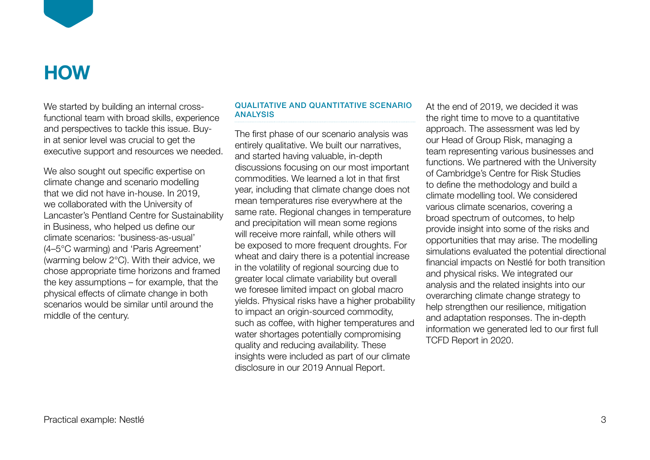

### **HOW**

We started by building an internal crossfunctional team with broad skills, experience and perspectives to tackle this issue. Buyin at senior level was crucial to get the executive support and resources we needed.

We also sought out specific expertise on climate change and scenario modelling that we did not have in-house. In 2019, we collaborated with the University of Lancaster's Pentland Centre for Sustainability in Business, who helped us define our climate scenarios: 'business-as-usual' (4–5°C warming) and 'Paris Agreement' (warming below 2°C). With their advice, we chose appropriate time horizons and framed the key assumptions – for example, that the physical effects of climate change in both scenarios would be similar until around the middle of the century.

### QUALITATIVE AND QUANTITATIVE SCENARIO ANALYSIS

The first phase of our scenario analysis was entirely qualitative. We built our narratives, and started having valuable, in-depth discussions focusing on our most important commodities. We learned a lot in that first year, including that climate change does not mean temperatures rise everywhere at the same rate. Regional changes in temperature and precipitation will mean some regions will receive more rainfall, while others will be exposed to more frequent droughts. For wheat and dairy there is a potential increase in the volatility of regional sourcing due to greater local climate variability but overall we foresee limited impact on global macro yields. Physical risks have a higher probability to impact an origin-sourced commodity, such as coffee, with higher temperatures and water shortages potentially compromising quality and reducing availability. These insights were included as part of our climate disclosure in our 2019 Annual Report.

At the end of 2019, we decided it was the right time to move to a quantitative approach. The assessment was led by our Head of Group Risk, managing a team representing various businesses and functions. We partnered with the University of Cambridge's Centre for Risk Studies to define the methodology and build a climate modelling tool. We considered various climate scenarios, covering a broad spectrum of outcomes, to help provide insight into some of the risks and opportunities that may arise. The modelling simulations evaluated the potential directional financial impacts on Nestlé for both transition and physical risks. We integrated our analysis and the related insights into our overarching climate change strategy to help strengthen our resilience, mitigation and adaptation responses. The in-depth information we generated led to our first full TCFD Report in 2020.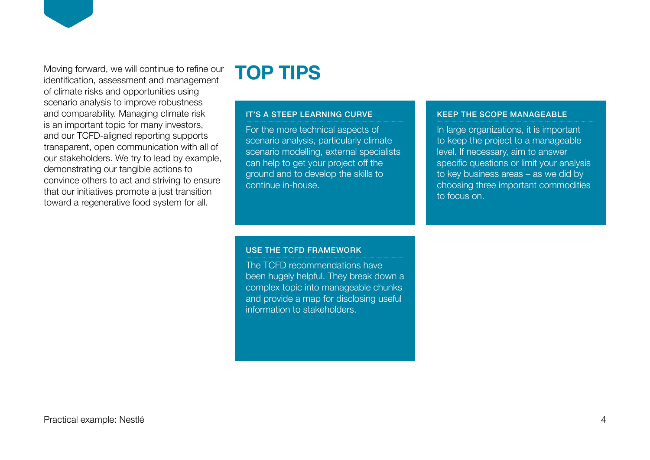Moving forward, we will continue to refine our identification, assessment and management of climate risks and opportunities using scenario analysis to improve robustness and comparability. Managing climate risk is an important topic for many investors, and our TCFD-aligned reporting supports transparent, open communication with all of our stakeholders. We try to lead by example, demonstrating our tangible actions to convince others to act and striving to ensure that our initiatives promote a just transition toward a regenerative food system for all.

### **TOP TIPS**

#### IT'S A STEEP LEARNING CURVE

For the more technical aspects of scenario analysis, particularly climate scenario modelling, external specialists can help to get your project off the ground and to develop the skills to continue in-house.

### KEEP THE SCOPE MANAGEABLE

In large organizations, it is important to keep the project to a manageable level. If necessary, aim to answer specific questions or limit your analysis to key business areas – as we did by choosing three important commodities to focus on.

USE THE TCFD FRAMEWORK

The TCFD recommendations have been hugely helpful. They break down a complex topic into manageable chunks and provide a map for disclosing useful information to stakeholders.